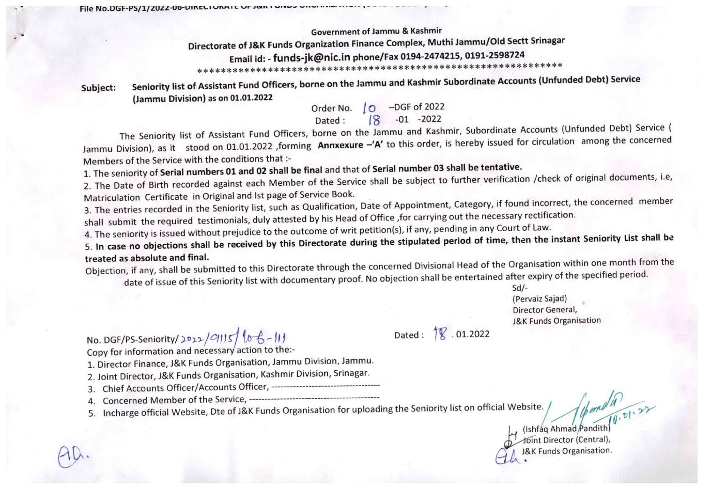**Government of Jammu & Kashmir** 

Directorate of J&K Funds Organization Finance Complex, Muthi Jammu/Old Sectt Srinagar

Email id: - funds-jk@nic.in phone/Fax 0194-2474215, 0191-2598724

Seniority list of Assistant Fund Officers, borne on the Jammu and Kashmir Subordinate Accounts (Unfunded Debt) Service Subject: (Jammu Division) as on 01.01.2022

Order No. | O -DGF of 2022

 $-01 - 2022$ Dated:

The Seniority list of Assistant Fund Officers, borne on the Jammu and Kashmir, Subordinate Accounts (Unfunded Debt) Service ( Jammu Division), as it stood on 01.01.2022 ,forming Annxexure -'A' to this order, is hereby issued for circulation among the concerned Members of the Service with the conditions that :-

1. The seniority of Serial numbers 01 and 02 shall be final and that of Serial number 03 shall be tentative.

2. The Date of Birth recorded against each Member of the Service shall be subject to further verification /check of original documents, i.e, Matriculation Certificate in Original and Ist page of Service Book.

3. The entries recorded in the Seniority list, such as Qualification, Date of Appointment, Category, if found incorrect, the concerned member shall submit the required testimonials, duly attested by his Head of Office , for carrying out the necessary rectification.

4. The seniority is issued without prejudice to the outcome of writ petition(s), if any, pending in any Court of Law.

5. In case no objections shall be received by this Directorate during the stipulated period of time, then the instant Seniority List shall be treated as absolute and final.

Objection, if any, shall be submitted to this Directorate through the concerned Divisional Head of the Organisation within one month from the date of issue of this Seniority list with documentary proof. No objection shall be entertained after expiry of the specified period.

Dated: 18.01.2022

 $Sd$ /-(Pervaiz Sajad) Director General, **J&K Funds Organisation** 

No. DGF/PS-Seniority/2022/C1115/lo  $6 - 11$ <br>Copy for information and necessary action to the:-

1. Director Finance, J&K Funds Organisation, Jammu Division, Jammu.

- 2. Joint Director, J&K Funds Organisation, Kashmir Division, Srinagar.
- 
- 

File No.DGF-PS/1/2022-00-DIRECTURATE OF JOINT DIRECTORS - WILLIAM CONTROL

5. Incharge official Website, Dte of J&K Funds Organisation for uploading the Seniority list on official Website. /

(Ishfaq Ahmad Pandith) oint Director (Central), K Funds Organisation.